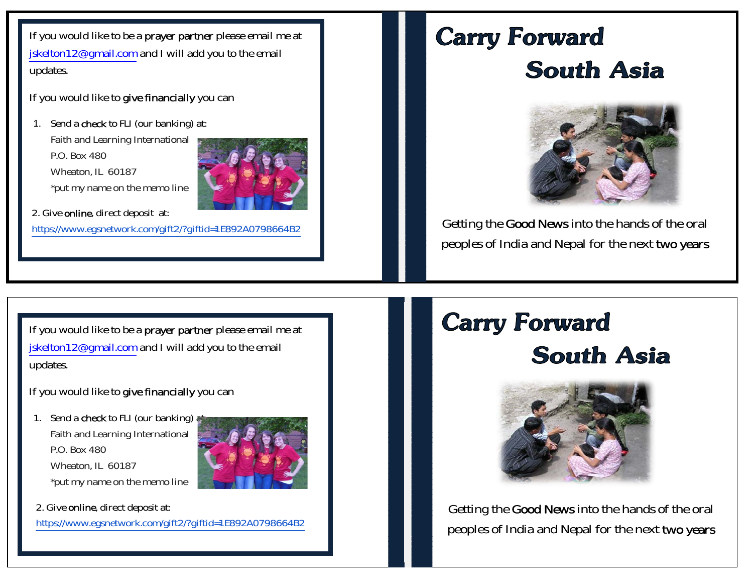If you would like to be a prayer partner please email me at jskelton12@gmail.com and I will add you to the email updates.

If you would like to give financially you can

1. Send a **check** to FLI (our banking) at: Faith and Learning International P.O. Box 480 Wheaton, IL 60187 \*put my name on the memo line



 2. Give online, direct deposit at: https://www.egsnetwork.com/gift2/?giftid=1E892A0798664B2

# **Carry Forward South Asia**



Getting the Good News into the hands of the oral peoples of India and Nepal for the next two years

If you would like to be a prayer partner please email me at jskelton12@gmail.com and I will add you to the email updates.

If you would like to give financially you can

1. Send a **check** to FLI (our banking) at Faith and Learning International P.O. Box 480 Wheaton, IL 60187 \*put my name on the memo line



2. Give online, direct deposit at:

https://www.egsnetwork.com/gift2/?giftid=1E892A0798664B2

# **Carry Forward South Asia**



Getting the Good News into the hands of the oral peoples of India and Nepal for the next two years